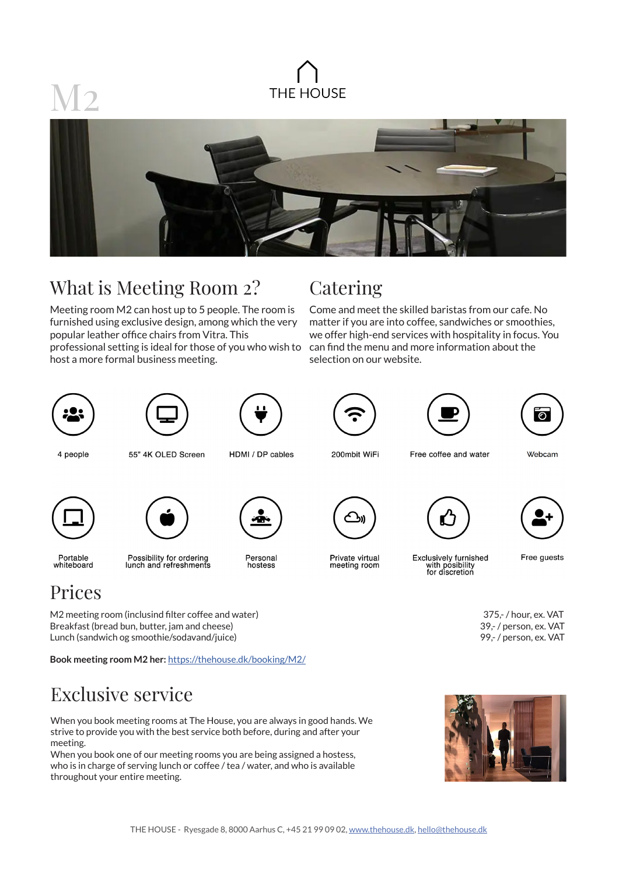

## What is Meeting Room 2?

Meeting room M2 can host up to 5 people. The room is furnished using exclusive design, among which the very popular leather office chairs from Vitra. This

professional setting is ideal for those of you who wish to host a more formal business meeting.

### **Catering**

Come and meet the skilled baristas from our cafe. No matter if you are into coffee, sandwiches or smoothies, we offer high-end services with hospitality in focus. You can find the menu and more information about the selection on our website.







4 people

55" 4K OLED Screen

HDMI / DP cables

200mbit WiFi





Free coffee and water

Webcam





**Book meeting room M2 her:** https://thehouse.dk/booking/M2/



Portable whiteboard

Prices

Possibility for ordering<br>lunch and refreshments

Personal hostess



Private virtual meeting room



Free guests

M2 meeting room (inclusind filter coffee and water) 375,- / hour, ex. VAT Breakfast (bread bun, butter, jam and cheese) 39,- / person, ex. VAT Lunch (sandwich og smoothie/sodavand/juice) 99,- / person, ex. VAT



Exclusive service

When you book meeting rooms at The House, you are always in good hands. We strive to provide you with the best service both before, during and after your meeting.

When you book one of our meeting rooms you are being assigned a hostess, who is in charge of serving lunch or coffee / tea / water, and who is available throughout your entire meeting.